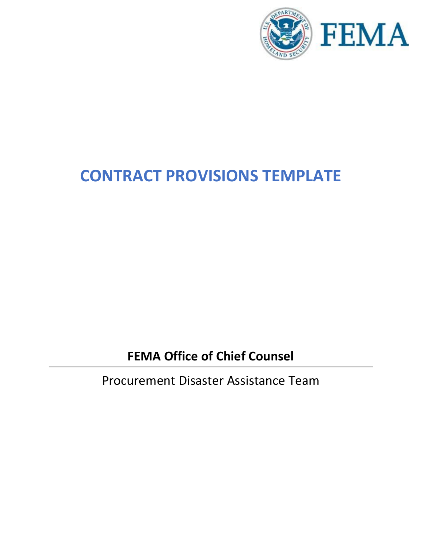

# **CONTRACT PROVISIONS TEMPLATE**

**FEMA Office of Chief Counsel**

Procurement Disaster Assistance Team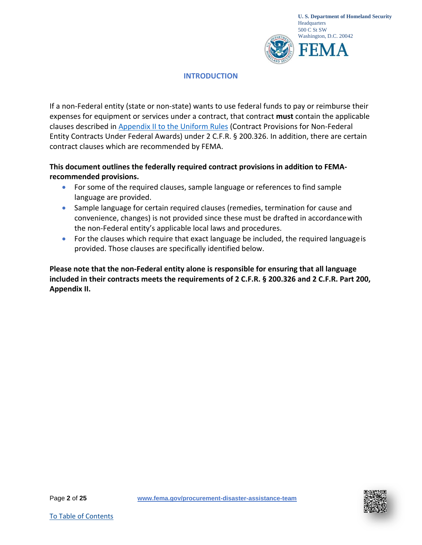

# **INTRODUCTION**

If a non-Federal entity (state or non-state) wants to use federal funds to pay or reimburse their expenses for equipment or services under a contract, that contract **must** contain the applicable clauses described in [Appendix II to the Uniform Rules](https://www.ecfr.gov/cgi-bin/text-idx?SID=1fbfda40f0e13a99556ddba6ea7eb23b&mc=true&node=ap2.1.200_1521.ii&rgn=div9) (Contract Provisions for Non-Federal Entity Contracts Under Federal Awards) under 2 C.F.R. § 200.326. In addition, there are certain contract clauses which are recommended by FEMA.

**This document outlines the federally required contract provisions in addition to FEMArecommended provisions.**

- For some of the required clauses, sample language or references to find sample language are provided.
- Sample language for certain required clauses (remedies, termination for cause and convenience, changes) is not provided since these must be drafted in accordancewith the non-Federal entity's applicable local laws and procedures.
- For the clauses which require that exact language be included, the required language is provided. Those clauses are specifically identified below.

**Please note that the non-Federal entity alone is responsible for ensuring that all language included in their contracts meets the requirements of 2 C.F.R. § 200.326 and 2 C.F.R. Part 200, Appendix II.**

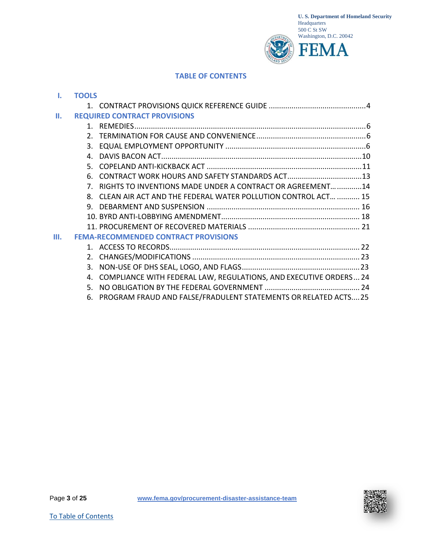

#### **TABLE OF CONTENTS**

<span id="page-2-0"></span>

|    | <b>TOOLS</b>   |                                                                          |  |
|----|----------------|--------------------------------------------------------------------------|--|
|    |                |                                                                          |  |
| П. |                | <b>REQUIRED CONTRACT PROVISIONS</b>                                      |  |
|    |                |                                                                          |  |
|    | $\mathcal{P}$  |                                                                          |  |
|    | $3_{-}$        |                                                                          |  |
|    | $\mathbf{4}$   |                                                                          |  |
|    | 5. L           |                                                                          |  |
|    | 6.             |                                                                          |  |
|    | 7 <sub>1</sub> | RIGHTS TO INVENTIONS MADE UNDER A CONTRACT OR AGREEMENT 14               |  |
|    | 8.             | CLEAN AIR ACT AND THE FEDERAL WATER POLLUTION CONTROL ACT  15            |  |
|    | 9.             |                                                                          |  |
|    |                |                                                                          |  |
|    |                |                                                                          |  |
| Ш. |                | <b>FEMA-RECOMMENDED CONTRACT PROVISIONS</b>                              |  |
|    |                |                                                                          |  |
|    |                |                                                                          |  |
|    | 3.             |                                                                          |  |
|    | 4.             | <b>COMPLIANCE WITH FEDERAL LAW, REGULATIONS, AND EXECUTIVE ORDERS 24</b> |  |
|    | 5.             |                                                                          |  |
|    | 6.             | PROGRAM FRAUD AND FALSE/FRADULENT STATEMENTS OR RELATED ACTS25           |  |

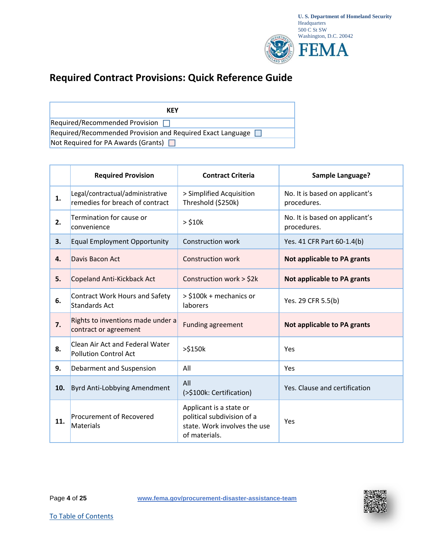

# <span id="page-3-0"></span>**Required Contract Provisions: Quick Reference Guide**

| KFY                                                               |  |  |  |  |  |
|-------------------------------------------------------------------|--|--|--|--|--|
| Required/Recommended Provision $\Box$                             |  |  |  |  |  |
| Required/Recommended Provision and Required Exact Language $\Box$ |  |  |  |  |  |
| Not Required for PA Awards (Grants) $\Box$                        |  |  |  |  |  |

|     | <b>Required Provision</b>                                           | <b>Contract Criteria</b>                                                                               | Sample Language?                              |
|-----|---------------------------------------------------------------------|--------------------------------------------------------------------------------------------------------|-----------------------------------------------|
| 1.  | Legal/contractual/administrative<br>remedies for breach of contract | > Simplified Acquisition<br>Threshold (\$250k)                                                         | No. It is based on applicant's<br>procedures. |
| 2.  | Termination for cause or<br>convenience                             | $>$ \$10 $k$                                                                                           | No. It is based on applicant's<br>procedures. |
| 3.  | <b>Equal Employment Opportunity</b>                                 | <b>Construction work</b>                                                                               | Yes. 41 CFR Part 60-1.4(b)                    |
| 4.  | Davis Bacon Act                                                     | <b>Construction work</b>                                                                               | Not applicable to PA grants                   |
| 5.  | Copeland Anti-Kickback Act                                          | Construction work > \$2k                                                                               | Not applicable to PA grants                   |
| 6.  | Contract Work Hours and Safety<br><b>Standards Act</b>              | > \$100k + mechanics or<br>laborers                                                                    | Yes. 29 CFR 5.5(b)                            |
| 7.  | Rights to inventions made under a<br>contract or agreement          | <b>Funding agreement</b>                                                                               | Not applicable to PA grants                   |
| 8.  | Clean Air Act and Federal Water<br><b>Pollution Control Act</b>     | >\$150k                                                                                                | Yes                                           |
| 9.  | Debarment and Suspension                                            | All                                                                                                    | Yes                                           |
| 10. | Byrd Anti-Lobbying Amendment                                        | All<br>(>\$100k: Certification)                                                                        | Yes. Clause and certification                 |
| 11. | <b>Procurement of Recovered</b><br>Materials                        | Applicant is a state or<br>political subdivision of a<br>state. Work involves the use<br>of materials. | Yes                                           |

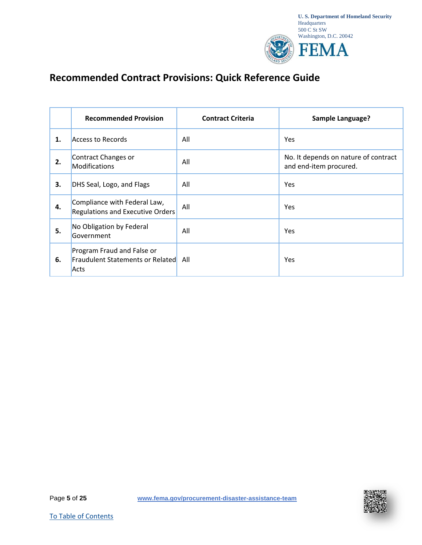

# **Recommended Contract Provisions: Quick Reference Guide**

|    | <b>Recommended Provision</b>                                                  | <b>Contract Criteria</b> | <b>Sample Language?</b>                                        |
|----|-------------------------------------------------------------------------------|--------------------------|----------------------------------------------------------------|
| 1. | Access to Records                                                             | All                      | <b>Yes</b>                                                     |
| 2. | Contract Changes or<br><b>Modifications</b>                                   | All                      | No. It depends on nature of contract<br>and end-item procured. |
| 3. | DHS Seal, Logo, and Flags                                                     | All                      | <b>Yes</b>                                                     |
| 4. | Compliance with Federal Law,<br><b>Regulations and Executive Orders</b>       | All                      | <b>Yes</b>                                                     |
| 5. | No Obligation by Federal<br>Government                                        | All                      | Yes                                                            |
| 6. | Program Fraud and False or<br><b>Fraudulent Statements or Related</b><br>Acts | All                      | Yes                                                            |

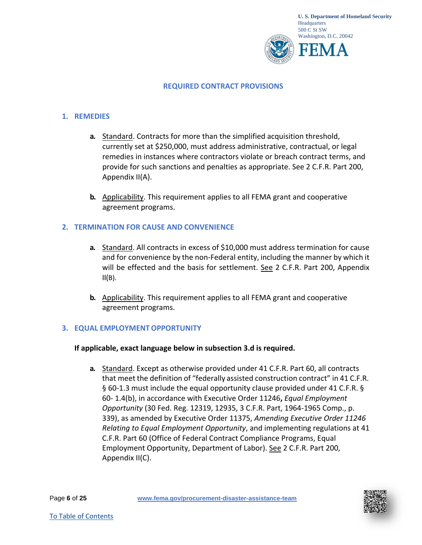

#### **REQUIRED CONTRACT PROVISIONS**

#### <span id="page-5-0"></span>**1. REMEDIES**

- **a.** Standard. Contracts for more than the simplified acquisition threshold, currently set at \$250,000, must address administrative, contractual, or legal remedies in instances where contractors violate or breach contract terms, and provide for such sanctions and penalties as appropriate. See 2 C.F.R. Part 200, Appendix II(A).
- **b.** Applicability. This requirement applies to all FEMA grant and cooperative agreement programs.

#### <span id="page-5-1"></span>**2. TERMINATION FOR CAUSE AND CONVENIENCE**

- **a.** Standard. All contracts in excess of \$10,000 must address termination for cause and for convenience by the non-Federal entity, including the manner by which it will be effected and the basis for settlement. See 2 C.F.R. Part 200, Appendix  $II(B)$ .
- **b.** Applicability. This requirement applies to all FEMA grant and cooperative agreement programs.

# <span id="page-5-2"></span>**3. EQUAL EMPLOYMENTOPPORTUNITY**

#### **If applicable, exact language below in subsection 3.d is required.**

**a.** Standard. Except as otherwise provided under 41 C.F.R. Part 60, all contracts that meet the definition of "federally assisted construction contract" in 41 C.F.R. § 60-1.3 must include the equal opportunity clause provided under 41 C.F.R. § 60- 1.4(b), in accordance with Executive Order 11246**,** *Equal Employment Opportunity* (30 Fed. Reg. 12319, 12935, 3 C.F.R. Part, 1964-1965 Comp., p. 339), as amended by Executive Order 11375, *Amending Executive Order 11246 Relating to Equal Employment Opportunity*, and implementing regulations at 41 C.F.R. Part 60 (Office of Federal Contract Compliance Programs, Equal Employment Opportunity, Department of Labor). See 2 C.F.R. Part 200, Appendix II(C).

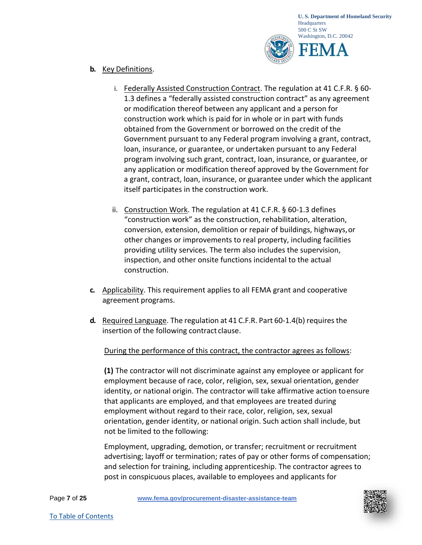

#### **b.** Key Definitions.

- i. Federally Assisted Construction Contract. The regulation at 41 C.F.R. § 60- 1.3 defines a "federally assisted construction contract" as any agreement or modification thereof between any applicant and a person for construction work which is paid for in whole or in part with funds obtained from the Government or borrowed on the credit of the Government pursuant to any Federal program involving a grant, contract, loan, insurance, or guarantee, or undertaken pursuant to any Federal program involving such grant, contract, loan, insurance, or guarantee, or any application or modification thereof approved by the Government for a grant, contract, loan, insurance, or guarantee under which the applicant itself participates in the construction work.
- ii. Construction Work. The regulation at 41 C.F.R. § 60-1.3 defines "construction work" as the construction, rehabilitation, alteration, conversion, extension, demolition or repair of buildings, highways,or other changes or improvements to real property, including facilities providing utility services. The term also includes the supervision, inspection, and other onsite functions incidental to the actual construction.
- **c.** Applicability. This requirement applies to all FEMA grant and cooperative agreement programs.
- **d.** Required Language. The regulation at 41 C.F.R. Part 60-1.4(b) requires the insertion of the following contract clause.

# During the performance of this contract, the contractor agrees as follows:

**(1)** The contractor will not discriminate against any employee or applicant for employment because of race, color, religion, sex, sexual orientation, gender identity, or national origin. The contractor will take affirmative action toensure that applicants are employed, and that employees are treated during employment without regard to their race, color, religion, sex, sexual orientation, gender identity, or national origin. Such action shall include, but not be limited to the following:

Employment, upgrading, demotion, or transfer; recruitment or recruitment advertising; layoff or termination; rates of pay or other forms of compensation; and selection for training, including apprenticeship. The contractor agrees to post in conspicuous places, available to employees and applicants for

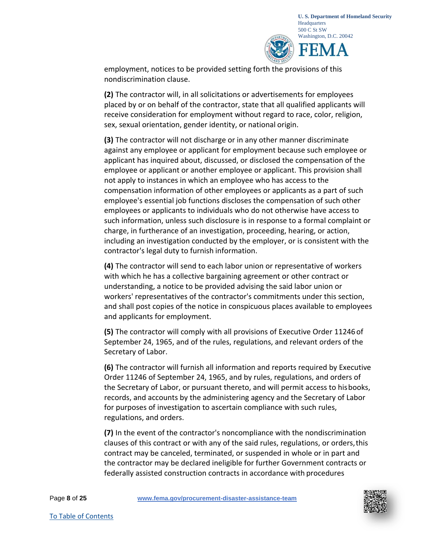

employment, notices to be provided setting forth the provisions of this nondiscrimination clause.

**(2)** The contractor will, in all solicitations or advertisements for employees placed by or on behalf of the contractor, state that all qualified applicants will receive consideration for employment without regard to race, color, religion, sex, sexual orientation, gender identity, or national origin.

**(3)** The contractor will not discharge or in any other manner discriminate against any employee or applicant for employment because such employee or applicant has inquired about, discussed, or disclosed the compensation of the employee or applicant or another employee or applicant. This provision shall not apply to instances in which an employee who has access to the compensation information of other employees or applicants as a part of such employee's essential job functions discloses the compensation of such other employees or applicants to individuals who do not otherwise have access to such information, unless such disclosure is in response to a formal complaint or charge, in furtherance of an investigation, proceeding, hearing, or action, including an investigation conducted by the employer, or is consistent with th[e](https://www.law.cornell.edu/definitions/index.php?width=840&height=800&iframe=true&def_id=11ed7b108f4f698848db076411872c73&term_occur=26&term_src=Title%3A41%3ASubtitle%3AB%3AChapter%3A60%3APart%3A60-1%3ASubpart%3AA%3A60-1.4) [contractor's](https://www.law.cornell.edu/definitions/index.php?width=840&height=800&iframe=true&def_id=11ed7b108f4f698848db076411872c73&term_occur=26&term_src=Title%3A41%3ASubtitle%3AB%3AChapter%3A60%3APart%3A60-1%3ASubpart%3AA%3A60-1.4) legal duty to furnish information.

**(4)** The contractor will send to each labor union or representative of workers with which he has a collective bargaining agreement or other contract or understanding, a notice to be provided advising the said labor union or workers' representatives of the contractor's commitments under this section, and shall post copies of the notice in conspicuous places available to employees and applicants for employment.

**(5)** The contractor will comply with all provisions of Executive Order 11246 of September 24, 1965, and of the rules, regulations, and relevant orders of the Secretary of Labor.

**(6)** The contractor will furnish all information and reports required by Executive Order 11246 of September 24, 1965, and by rules, regulations, and orders of the Secretary of Labor, or pursuant thereto, and will permit access to hisbooks, records, and accounts by the administering agency and the Secretary of Labor for purposes of investigation to ascertain compliance with such rules, regulations, and orders.

**(7)** In the event of the contractor's noncompliance with the nondiscrimination clauses of this contract or with any of the said rules, regulations, or orders,this contract may be canceled, terminated, or suspended in whole or in part and the contractor may be declared ineligible for further Government contracts or federally assisted construction contracts in accordance with procedures

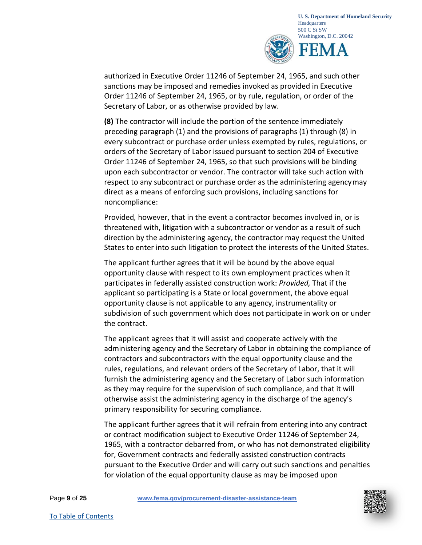

authorized in Executive Order 11246 of September 24, 1965, and such other sanctions may be imposed and remedies invoked as provided in Executive Order 11246 of September 24, 1965, or by rule, regulation, or order of the Secretary of Labor, or as otherwise provided by law.

**(8)** The contractor will include the portion of the sentence immediately preceding paragraph (1) and the provisions of paragraphs (1) through (8) in every subcontract or purchase order unless exempted by rules, regulations, or orders of the Secretary of Labor issued pursuant to section 204 of Executive Order 11246 of September 24, 1965, so that such provisions will be binding upon each subcontractor or vendor. The contractor will take such action with respect to any subcontract or purchase order as the administering agencymay direct as a means of enforcing such provisions, including sanctions for noncompliance:

Provided*,* however, that in the event a contractor becomes involved in, or is threatened with, litigation with a subcontractor or vendor as a result of such direction by the administering agency, the contractor may request the United States to enter into such litigation to protect the interests of the United States.

The applicant further agrees that it will be bound by the above equal opportunity clause with respect to its own employment practices when it participates in federally assisted construction work: *Provided,* That if the applicant so participating is a State or local government, the above equal opportunity clause is not applicable to any agency, instrumentality or subdivision of such government which does not participate in work on or under the contract.

The applicant agrees that it will assist and cooperate actively with the administering agency and the Secretary of Labor in obtaining the compliance of contractors and subcontractors with the equal opportunity clause and the rules, regulations, and relevant orders of the Secretary of Labor, that it will furnish the administering agency and the Secretary of Labor such information as they may require for the supervision of such compliance, and that it will otherwise assist the administering agency in the discharge of the agency's primary responsibility for securing compliance.

The applicant further agrees that it will refrain from entering into any contract [or contract m](https://www.law.cornell.edu/definitions/index.php?width=840&height=800&iframe=true&def_id=22edf9acbb0b836eba994727b86adedf&term_occur=16&term_src=Title%3A41%3ASubtitle%3AB%3AChapter%3A60%3APart%3A60-1%3ASubpart%3AA%3A60-1.4)odification subject to Executive Order 11246 of September 24, 1965, with a contractor debarred from, or who has not demonstrated eligibility for, Government contracts and federally assisted construction contracts pursuant to the Executive Order and will carry out such sanctions and penalties for violation of the equal opportunity clause as may be imposed upon

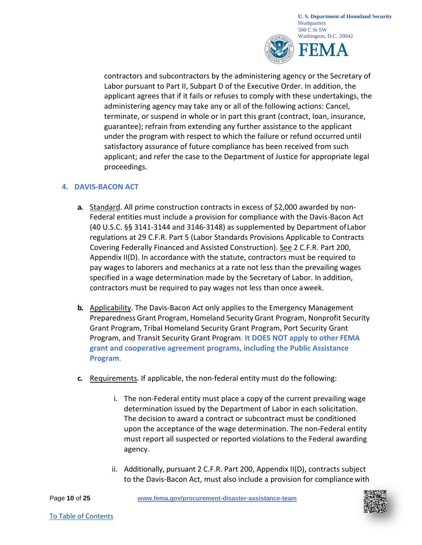

contractors and subcontractors by the administering agency or the Secretary of Labor pursuant to Part II, Subpart D of the Executive Order. In addition, the applicant agrees that if it fails or refuses to comply with these undertakings, the administering agency may take any or all of the following actions: Cancel, terminate, or suspend in whole or in part this grant (contract, loan, insurance, guarantee); refrain from extending any further assistance to the applicant under the program with respect to which the failure or refund occurred until satisfactory assurance of future compliance has been received from such applicant; and refer the case to the Department of Justice for appropriate legal proceedings.

# <span id="page-9-0"></span>**4. DAVIS-BACON ACT**

- **a.** Standard. All prime construction contracts in excess of \$2,000 awarded by non-Federal entities must include a provision for compliance with the Davis-Bacon Act (40 U.S.C. §§ 3141-3144 and 3146-3148) as supplemented by Department ofLabor regulations at 29 C.F.R. Part 5 (Labor Standards Provisions Applicable to Contracts Covering Federally Financed and Assisted Construction). See 2 C.F.R. Part 200, Appendix II(D). In accordance with the statute, contractors must be required to pay wages to laborers and mechanics at a rate not less than the prevailing wages specified in a wage determination made by the Secretary of Labor. In addition, contractors must be required to pay wages not less than once aweek.
- **b.** Applicability. The Davis-Bacon Act only applies to the Emergency Management Preparedness Grant Program, Homeland SecurityGrant Program, Nonprofit Security Grant Program, Tribal Homeland Security Grant Program, Port Security Grant Program, and Transit Security Grant Program. **It DOES NOT apply to other FEMA grant and cooperative agreement programs, including the Public Assistance Program**.
- **c.** Requirements. If applicable, the non-federal entity must do the following:
	- i. The non-Federal entity must place a copy of the current prevailing wage determination issued by the Department of Labor in each solicitation. The decision to award a contract or subcontract must be conditioned upon the acceptance of the wage determination. The non-Federal entity must report all suspected or reported violations to the Federal awarding agency.
	- ii. Additionally, pursuant 2 C.F.R. Part 200, Appendix II(D), contracts subject to the Davis-Bacon Act, must also include a provision for compliancewith

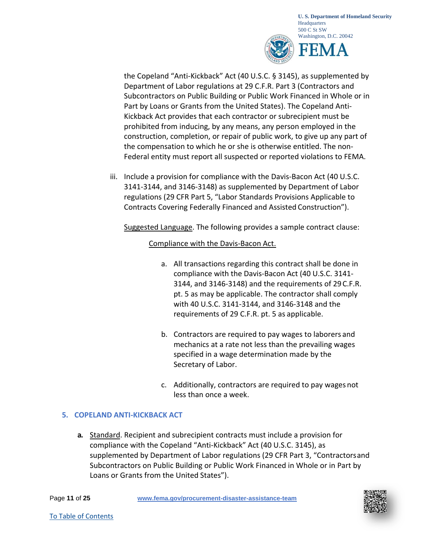

the Copeland "Anti-Kickback" Act (40 U.S.C. § 3145), as supplemented by Department of Labor regulations at 29 C.F.R. Part 3 (Contractors and Subcontractors on Public Building or Public Work Financed in Whole or in Part by Loans or Grants from the United States). The Copeland Anti-Kickback Act provides that each contractor or subrecipient must be prohibited from inducing, by any means, any person employed in the construction, completion, or repair of public work, to give up any part of the compensation to which he or she is otherwise entitled. The non-Federal entity must report all suspected or reported violations to FEMA.

iii. Include a provision for compliance with the Davis-Bacon Act (40 U.S.C. 3141-3144, and 3146-3148) as supplemented by Department of Labor regulations (29 CFR Part 5, "Labor Standards Provisions Applicable to Contracts Covering Federally Financed and Assisted Construction").

Suggested Language. The following provides a sample contract clause:

# Compliance with the Davis-Bacon Act.

- a. All transactions regarding this contract shall be done in compliance with the Davis-Bacon Act (40 U.S.C. 3141- 3144, and 3146-3148) and the requirements of 29C.F.R. pt. 5 as may be applicable. The contractor shall comply with 40 U.S.C. 3141-3144, and 3146-3148 and the requirements of 29 C.F.R. pt. 5 as applicable.
- b. Contractors are required to pay wages to laborers and mechanics at a rate not less than the prevailing wages specified in a wage determination made by the Secretary of Labor.
- c. Additionally, contractors are required to pay wages not less than once a week.

# <span id="page-10-0"></span>**5. COPELAND ANTI-KICKBACK ACT**

**a.** Standard. Recipient and subrecipient contracts must include a provision for compliance with the Copeland "Anti-Kickback" Act (40 U.S.C. 3145), as supplemented by Department of Labor regulations (29 CFR Part 3, "Contractorsand Subcontractors on Public Building or Public Work Financed in Whole or in Part by Loans or Grants from the United States").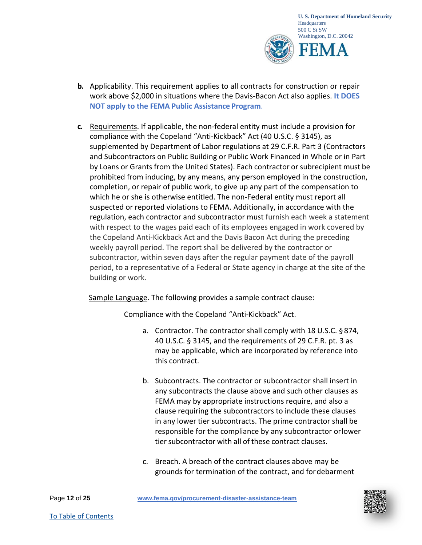

- **b.** Applicability. This requirement applies to all contracts for construction or repair work above \$2,000 in situations where the Davis-Bacon Act also applies. **It DOES NOT apply to the FEMA Public Assistance Program**.
- **c.** Requirements. If applicable, the non-federal entity must include a provision for compliance with the Copeland "Anti-Kickback" Act (40 U.S.C. § 3145), as supplemented by Department of Labor regulations at 29 C.F.R. Part 3 (Contractors and Subcontractors on Public Building or Public Work Financed in Whole or in Part by Loans or Grants from the United States). Each contractor or subrecipient must be prohibited from inducing, by any means, any person employed in the construction, completion, or repair of public work, to give up any part of the compensation to which he or she is otherwise entitled. The non-Federal entity must report all suspected or reported violations to FEMA. Additionally, in accordance with the regulation, each contractor and subcontractor must furnish each week a statement with respect to the wages paid each of its employees engaged in work covered by the Copeland Anti-Kickback Act and the Davis Bacon Act during the preceding weekly payroll period. The report shall be delivered by the contractor or subcontractor, within seven days after the regular payment date of the payroll period, to a representative of a Federal or State agency in charge at the site of the building or work.

# Sample Language. The following provides a sample contract clause:

# Compliance with the Copeland "Anti-Kickback" Act.

- a. Contractor. The contractor shall comply with 18 U.S.C. § 874, 40 U.S.C. § 3145, and the requirements of 29 C.F.R. pt. 3 as may be applicable, which are incorporated by reference into this contract.
- b. Subcontracts. The contractor or subcontractor shall insert in any subcontracts the clause above and such other clauses as FEMA may by appropriate instructions require, and also a clause requiring the subcontractors to include these clauses in any lower tier subcontracts. The prime contractor shall be responsible for the compliance by any subcontractor orlower tier subcontractor with all of these contract clauses.
- c. Breach. A breach of the contract clauses above may be grounds for termination of the contract, and fordebarment

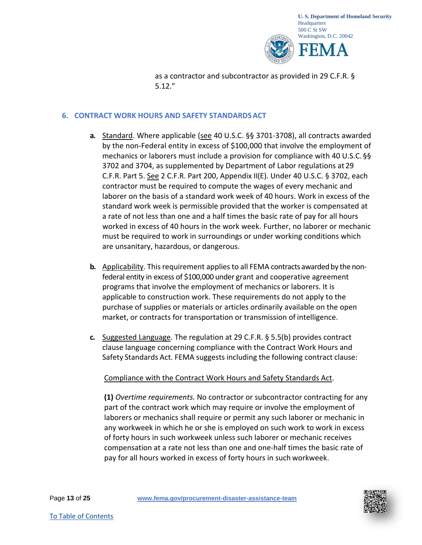

as a contractor and subcontractor as provided in 29 C.F.R. § 5.12."

# <span id="page-12-0"></span>**6. CONTRACT WORK HOURS AND SAFETY STANDARDSACT**

- **a.** Standard. Where applicable (see 40 U.S.C. §§ 3701-3708), all contracts awarded by the non-Federal entity in excess of \$100,000 that involve the employment of mechanics or laborers must include a provision for compliance with 40 U.S.C. §§ 3702 and 3704, as supplemented by Department of Labor regulations at 29 C.F.R. Part 5. See 2 C.F.R. Part 200, Appendix II(E). Under 40 U.S.C. § 3702, each contractor must be required to compute the wages of every mechanic and laborer on the basis of a standard work week of 40 hours. Work in excess of the standard work week is permissible provided that the worker is compensated at a rate of not less than one and a half times the basic rate of pay for all hours worked in excess of 40 hours in the work week. Further, no laborer or mechanic must be required to work in surroundings or under working conditions which are unsanitary, hazardous, or dangerous.
- **b.** Applicability. This requirement applies to all FEMA contracts awarded by the nonfederal entity in excess of \$100,000 under grant and cooperative agreement programs that involve the employment of mechanics or laborers. It is applicable to construction work. These requirements do not apply to the purchase of supplies or materials or articles ordinarily available on the open market, or contracts for transportation or transmission of intelligence.
- **c.** Suggested Language. The regulation at 29 C.F.R. § 5.5(b) provides contract clause language concerning compliance with the Contract Work Hours and Safety Standards Act. FEMA suggests including the following contract clause:

# Compliance with the Contract Work Hours and Safety Standards Act.

**(1)** *Overtime requirements.* No contractor or subcontractor contracting for any part of the contract work which may require or involve the employment of laborers or mechanics shall require or permit any such laborer or mechanic in any workweek in which he or she is employed on such work to work in excess of forty hours in such workweek unless such laborer or mechanic receives compensation at a rate not less than one and one-half times the basic rate of pay for all hours worked in excess of forty hours in such workweek.

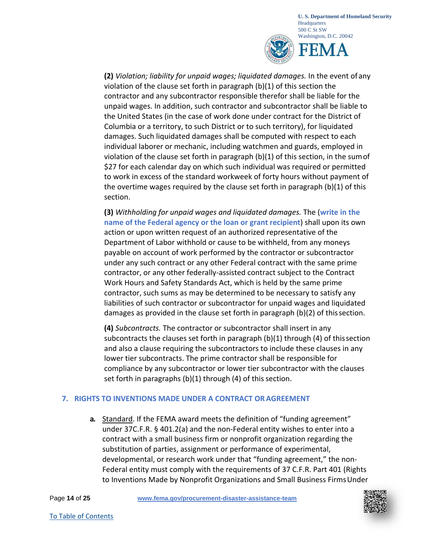

**(2)** *Violation; liability for unpaid wages; liquidated damages.* In the event of any violation of the clause set forth in paragraph (b)(1) of this section the contractor and any subcontractor responsible therefor shall be liable for the unpaid wages. In addition, such contractor and subcontractor shall be liable to the United States (in the case of work done under contract for the District of Columbia or a territory, to such District or to such territory), for liquidated damages. Such liquidated damages shall be computed with respect to each individual laborer or mechanic, including watchmen and guards, employed in violation of the clause set forth in paragraph  $(b)(1)$  of this section, in the sum of \$27 for each calendar day on which such individual was required or permitted to work in excess of the standard workweek of forty hours without payment of the overtime wages required by the clause set forth in paragraph (b)(1) of this section.

**(3)** *Withholding for unpaid wages and liquidated damages.* The (**write in the name of the Federal agency or the loan or grant recipient**) shall upon its own action or upon written request of an authorized representative of the Department of Labor withhold or cause to be withheld, from any moneys payable on account of work performed by the contractor or subcontractor under any such contract or any other Federal contract with the same prime contractor, or any other federally-assisted contract subject to the Contract Work Hours and Safety Standards Act, which is held by the same prime contractor, such sums as may be determined to be necessary to satisfy any liabilities of such contractor or subcontractor for unpaid wages and liquidated damages as provided in the clause set forth in paragraph (b)(2) of thissection.

**(4)** *Subcontracts.* The contractor or subcontractor shall insert in any subcontracts the clauses set forth in paragraph  $(b)(1)$  through  $(4)$  of this section and also a clause requiring the subcontractors to include these clauses in any lower tier subcontracts. The prime contractor shall be responsible for compliance by any subcontractor or lower tier subcontractor with the clauses set forth in paragraphs  $(b)(1)$  through  $(4)$  of this section.

# <span id="page-13-0"></span>**7. RIGHTS TO INVENTIONS MADE UNDER A CONTRACT ORAGREEMENT**

**a.** Standard. If the FEMA award meets the definition of "funding agreement" under 37C.F.R. § 401.2(a) and the non-Federal entity wishes to enter into a contract with a small business firm or nonprofit organization regarding the substitution of parties, assignment or performance of experimental, developmental, or research work under that "funding agreement," the non-Federal entity must comply with the requirements of 37 C.F.R. Part 401 (Rights to Inventions Made by Nonprofit Organizations and Small Business FirmsUnder

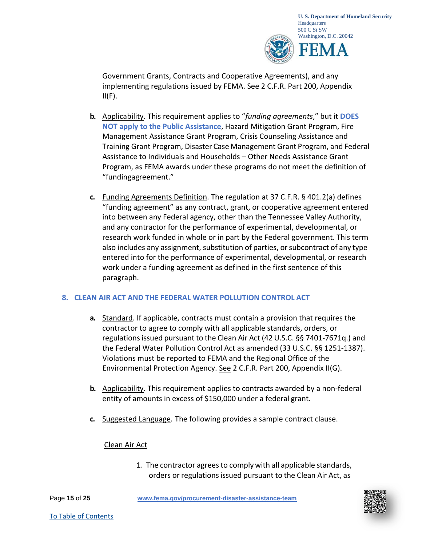

Government Grants, Contracts and Cooperative Agreements), and any implementing regulations issued by FEMA. See 2 C.F.R. Part 200, Appendix  $II(F)$ .

- **b.** Applicability. This requirement applies to "*funding agreements*," but it **DOES NOT apply to the Public Assistance**, Hazard Mitigation Grant Program, Fire Management Assistance Grant Program, Crisis Counseling Assistance and Training Grant Program, Disaster Case Management Grant Program, and Federal Assistance to Individuals and Households – Other Needs Assistance Grant Program, as FEMA awards under these programs do not meet the definition of "fundingagreement."
- **c.** Funding Agreements Definition. The regulation at 37 C.F.R. § 401.2(a) defines "funding agreement" as any contract, grant, or cooperative agreement entered into between any Federal agency, other than the Tennessee Valley Authority, and any contractor for the performance of experimental, developmental, or research work funded in whole or in part by the Federal government. This term also includes any assignment, substitution of parties, orsubcontract of any type entered into for the performance of experimental, developmental, or research work under a funding agreement as defined in the first sentence of this paragraph.

# <span id="page-14-0"></span>**8. CLEAN AIR ACT AND THE FEDERAL WATER POLLUTION CONTROL ACT**

- **a.** Standard. If applicable, contracts must contain a provision that requires the contractor to agree to comply with all applicable standards, orders, or regulations issued pursuant to the Clean Air Act (42 U.S.C. §§ 7401-7671q.) and the Federal Water Pollution Control Act as amended (33 U.S.C. §§ 1251-1387). Violations must be reported to FEMA and the Regional Office of the Environmental Protection Agency. See 2 C.F.R. Part 200, Appendix II(G).
- **b.** Applicability. This requirement applies to contracts awarded by a non-federal entity of amounts in excess of \$150,000 under a federal grant.
- **c.** Suggested Language. The following provides a sample contract clause.

# Clean Air Act

1. The contractor agrees to comply with all applicable standards, orders or regulations issued pursuant to the Clean Air Act, as

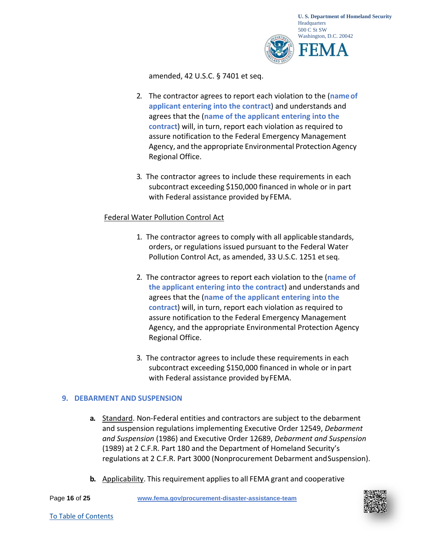

amended, 42 U.S.C. § 7401 et seq.

- 2. The contractor agrees to report each violation to the (**nameof applicant entering into the contract**) and understands and agrees that the (**name of the applicant entering into the contract**) will, in turn, report each violation as required to assure notification to the Federal Emergency Management Agency, and the appropriate Environmental Protection Agency Regional Office.
- 3. The contractor agrees to include these requirements in each subcontract exceeding \$150,000 financed in whole or in part with Federal assistance provided by FEMA.

#### Federal Water Pollution Control Act

- 1. The contractor agrees to comply with all applicable standards, orders, or regulations issued pursuant to the Federal Water Pollution Control Act, as amended, 33 U.S.C. 1251 etseq.
- 2. The contractor agrees to report each violation to the (**name of the applicant entering into the contract**) and understands and agrees that the (**name of the applicant entering into the contract**) will, in turn, report each violation as required to assure notification to the Federal Emergency Management Agency, and the appropriate Environmental Protection Agency Regional Office.
- 3. The contractor agrees to include these requirements in each subcontract exceeding \$150,000 financed in whole or inpart with Federal assistance provided by FEMA.

#### <span id="page-15-0"></span>**9. DEBARMENT AND SUSPENSION**

- **a.** Standard. Non-Federal entities and contractors are subject to the debarment and suspension regulations implementing Executive Order 12549, *Debarment and Suspension* (1986) and Executive Order 12689, *Debarment and Suspension*  (1989) at 2 C.F.R. Part 180 and the Department of Homeland Security's regulations at 2 C.F.R. Part 3000 (Nonprocurement Debarment andSuspension).
- **b.** Applicability. This requirement applies to all FEMA grant and cooperative

Page **16** of **25 [www.fema.gov/procurement-disaster-assistance-team](http://www.fema.gov/procurement-disaster-assistance-team)**

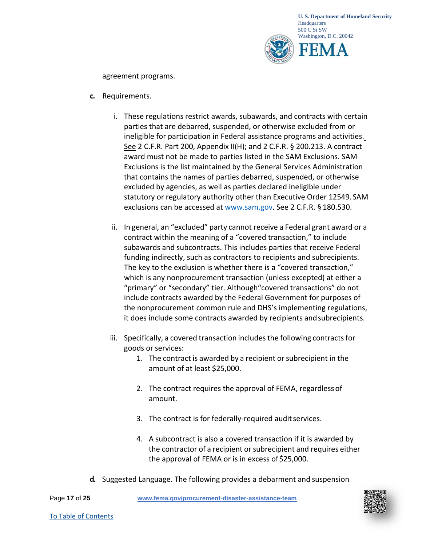

agreement programs.

#### **c.** Requirements.

- i. These regulations restrict awards, subawards, and contracts with certain parties that are debarred, suspended, or otherwise excluded from or ineligible for participation in Federal assistance programs and activities. See 2 C.F.R. Part 200, Appendix II(H); and 2 C.F.R. § 200.213. A contract award must not be made to parties listed in the SAM Exclusions. SAM Exclusions is the list maintained by the General Services Administration that contains the names of parties debarred, suspended, or otherwise excluded by agencies, as well as parties declared ineligible under statutory or regulatory authority other than Executive Order 12549. SAM exclusions can be accessed at [www.sam.gov.](http://www.sam.gov/) See 2 C.F.R. § 180.530.
- ii. In general, an "excluded" party cannot receive a Federal grant award or a contract within the meaning of a "covered transaction," to include subawards and subcontracts. This includes parties that receive Federal funding indirectly, such as contractors to recipients and subrecipients. The key to the exclusion is whether there is a "covered transaction," which is any nonprocurement transaction (unless excepted) at either a "primary" or "secondary" tier. Although"covered transactions" do not include contracts awarded by the Federal Government for purposes of the nonprocurement common rule and DHS's implementing regulations, it does include some contracts awarded by recipients andsubrecipients.
- iii. Specifically, a covered transaction includes the following contracts for goods or services:
	- 1. The contract is awarded by a recipient or subrecipient in the amount of at least \$25,000.
	- 2. The contract requires the approval of FEMA, regardless of amount.
	- 3. The contract is for federally-required audit services.
	- 4. A subcontract is also a covered transaction if it is awarded by the contractor of a recipient or subrecipient and requires either the approval of FEMA or is in excess of \$25,000.
- **d.** Suggested Language. The following provides a debarment and suspension

Page **17** of **25 [www.fema.gov/procurement-disaster-assistance-team](http://www.fema.gov/procurement-disaster-assistance-team)**

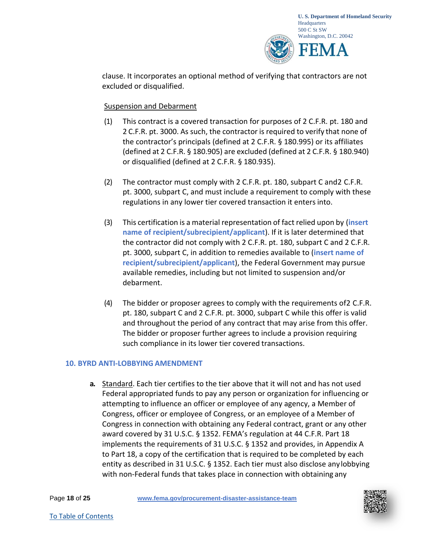

clause. It incorporates an optional method of verifying that contractors are not excluded or disqualified.

# Suspension and Debarment

- (1) This contract is a covered transaction for purposes of 2 C.F.R. pt. 180 and 2 C.F.R. pt. 3000. As such, the contractor is required to verify that none of the contractor's principals (defined at 2 C.F.R. § 180.995) or its affiliates (defined at 2 C.F.R. § 180.905) are excluded (defined at 2 C.F.R. § 180.940) or disqualified (defined at 2 C.F.R. § 180.935).
- (2) The contractor must comply with 2 C.F.R. pt. 180, subpart C and2 C.F.R. pt. 3000, subpart C, and must include a requirement to comply with these regulations in any lower tier covered transaction it enters into.
- (3) This certification is a material representation of fact relied upon by (**insert name of recipient/subrecipient/applicant**). If it is later determined that the contractor did not comply with 2 C.F.R. pt. 180, subpart C and 2 C.F.R. pt. 3000, subpart C, in addition to remedies available to (**insert name of recipient/subrecipient/applicant**), the Federal Government may pursue available remedies, including but not limited to suspension and/or debarment.
- (4) The bidder or proposer agrees to comply with the requirements of2 C.F.R. pt. 180, subpart C and 2 C.F.R. pt. 3000, subpart C while this offer is valid and throughout the period of any contract that may arise from this offer. The bidder or proposer further agrees to include a provision requiring such compliance in its lower tier covered transactions.

# <span id="page-17-0"></span>**10. BYRD ANTI-LOBBYING AMENDMENT**

**a.** Standard. Each tier certifies to the tier above that it will not and has not used Federal appropriated funds to pay any person or organization for influencing or attempting to influence an officer or employee of any agency, a Member of Congress, officer or employee of Congress, or an employee of a Member of Congress in connection with obtaining any Federal contract, grant or any other award covered by 31 U.S.C. § 1352. FEMA's regulation at 44 C.F.R. Part 18 implements the requirements of 31 U.S.C. § 1352 and provides, in Appendix A to Part 18, a copy of the certification that is required to be completed by each entity as described in 31 U.S.C. § 1352. Each tier must also disclose anylobbying with non-Federal funds that takes place in connection with obtaining any

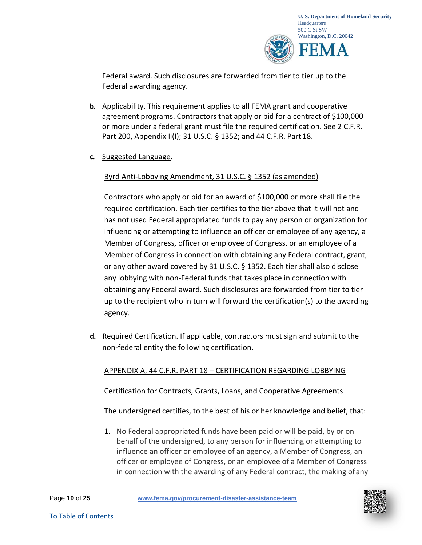

Federal award. Such disclosures are forwarded from tier to tier up to the Federal awarding agency.

- **b.** Applicability. This requirement applies to all FEMA grant and cooperative agreement programs. Contractors that apply or bid for a contract of \$100,000 or more under a federal grant must file the required certification. See 2 C.F.R. Part 200, Appendix II(I); 31 U.S.C. § 1352; and 44 C.F.R. Part 18.
- **c.** Suggested Language.

# Byrd Anti-Lobbying Amendment, 31 U.S.C. § 1352 (as amended)

Contractors who apply or bid for an award of \$100,000 or more shall file the required certification. Each tier certifies to the tier above that it will not and has not used Federal appropriated funds to pay any person or organization for influencing or attempting to influence an officer or employee of any agency, a Member of Congress, officer or employee of Congress, or an employee of a Member of Congress in connection with obtaining any Federal contract, grant, or any other award covered by 31 U.S.C. § 1352. Each tier shall also disclose any lobbying with non-Federal funds that takes place in connection with obtaining any Federal award. Such disclosures are forwarded from tier to tier up to the recipient who in turn will forward the certification(s) to the awarding agency.

**d.** Required Certification. If applicable, contractors must sign and submit to the non-federal entity the following certification.

# APPENDIX A, 44 C.F.R. PART 18 – CERTIFICATION REGARDING LOBBYING

Certification for Contracts, Grants, Loans, and Cooperative Agreements

The undersigned certifies, to the best of his or her knowledge and belief, that:

1. No Federal appropriated funds have been paid or will be paid, by or on behalf of the undersigned, to any person for influencing or attempting to influence an officer or employee of an agency, a Member of Congress, an officer or employee of Congress, or an employee of a Member of Congress in connection with the awarding of any Federal contract, the making ofany

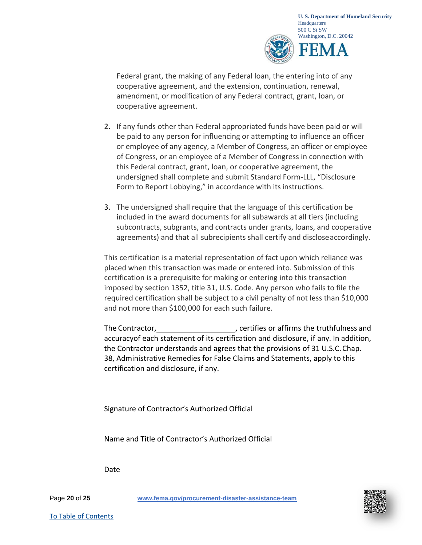

Federal grant, the making of any Federal loan, the entering into of any cooperative agreement, and the extension, continuation, renewal, amendment, or modification of any Federal contract, grant, loan, or cooperative agreement.

- 2. If any funds other than Federal appropriated funds have been paid or will be paid to any person for influencing or attempting to influence an officer or employee of any agency, a Member of Congress, an officer or employee of Congress, or an employee of a Member of Congress in connection with this Federal contract, grant, loan, or cooperative agreement, the undersigned shall complete and submit Standard Form-LLL, "Disclosure Form to Report Lobbying," in accordance with its instructions.
- 3. The undersigned shall require that the language of this certification be included in the award documents for all subawards at all tiers (including subcontracts, subgrants, and contracts under grants, loans, and cooperative agreements) and that all subrecipients shall certify and discloseaccordingly.

This certification is a material representation of fact upon which reliance was placed when this transaction was made or entered into. Submission of this certification is a prerequisite for making or entering into this transaction imposed by section 1352, title 31, U.S. Code. Any person who fails to file the required certification shall be subject to a civil penalty of not less than \$10,000 and not more than \$100,000 for each such failure.

The Contractor, *CONTERCORD* , certifies or affirms the truthfulness and accuracyof each statement of its certification and disclosure, if any. In addition, the Contractor understands and agrees that the provisions of 31 U.S.C.Chap. 38, Administrative Remedies for False Claims and Statements, apply to this certification and disclosure, if any.

Signature of Contractor's Authorized Official

Name and Title of Contractor's Authorized Official

Date

Page **20** of **25 [www.fema.gov/procurement-disaster-assistance-team](http://www.fema.gov/procurement-disaster-assistance-team)**

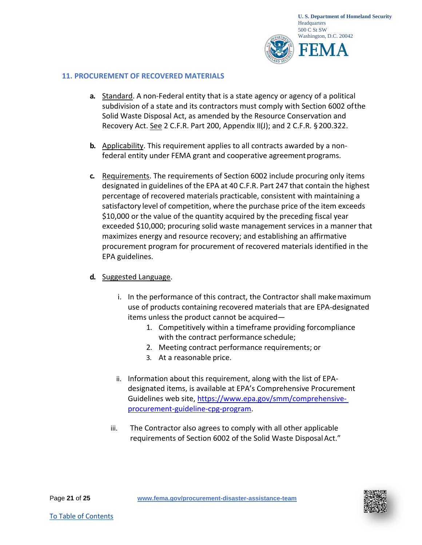

#### <span id="page-20-0"></span>**11. PROCUREMENT OF RECOVERED MATERIALS**

- **a.** Standard. A non-Federal entity that is a state agency or agency of a political subdivision of a state and its contractors must comply with Section 6002 ofthe Solid Waste Disposal Act, as amended by the Resource Conservation and Recovery Act. See 2 C.F.R. Part 200, Appendix II(J); and 2 C.F.R. §200.322.
- **b.** Applicability. This requirement applies to all contracts awarded by a nonfederal entity under FEMA grant and cooperative agreement programs.
- **c.** Requirements. The requirements of Section 6002 include procuring only items designated in guidelines of the EPA at 40 C.F.R. Part 247 that contain the highest percentage of recovered materials practicable, consistent with maintaining a satisfactory level of competition, where the purchase price of the item exceeds \$10,000 or the value of the quantity acquired by the preceding fiscal year exceeded \$10,000; procuring solid waste management services in a manner that maximizes energy and resource recovery; and establishing an affirmative procurement program for procurement of recovered materials identified in the EPA guidelines.
- **d.** Suggested Language.
	- i. In the performance of this contract, the Contractor shall makemaximum use of products containing recovered materials that are EPA-designated items unless the product cannot be acquired—
		- 1. Competitively within a timeframe providing forcompliance with the contract performance schedule;
		- 2. Meeting contract performance requirements; or
		- 3. At a reasonable price.
	- ii. Information about this requirement, along with the list of EPAdesignated items, is available at EPA's Comprehensive Procurement Guidelines web site, [https://www.epa.gov/smm/comprehensive](https://www.epa.gov/smm/comprehensive-procurement-guideline-cpg-program)[procurement-guideline-cpg-program.](https://www.epa.gov/smm/comprehensive-procurement-guideline-cpg-program)
	- iii. The Contractor also agrees to comply with all other applicable requirements of Section 6002 of the Solid Waste Disposal Act."

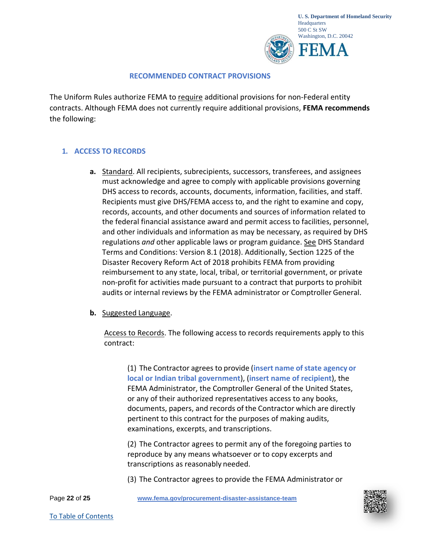

#### **RECOMMENDED CONTRACT PROVISIONS**

The Uniform Rules authorize FEMA to require additional provisions for non-Federal entity contracts. Although FEMA does not currently require additional provisions, **FEMA recommends**  the following:

# <span id="page-21-0"></span>**1. ACCESS TO RECORDS**

**a.** Standard. All recipients, subrecipients, successors, transferees, and assignees must acknowledge and agree to comply with applicable provisions governing DHS access to records, accounts, documents, information, facilities, and staff. Recipients must give DHS/FEMA access to, and the right to examine and copy, records, accounts, and other documents and sources of information related to the federal financial assistance award and permit access to facilities, personnel, and other individuals and information as may be necessary, as required by DHS regulations *and* other applicable laws or program guidance. See DHS Standard Terms and Conditions: Version 8.1 (2018). Additionally, Section 1225 of the Disaster Recovery Reform Act of 2018 prohibits FEMA from providing reimbursement to any state, local, tribal, or territorial government, or private non-profit for activities made pursuant to a contract that purports to prohibit audits or internal reviews by the FEMA administrator or Comptroller General.

# **b.** Suggested Language.

Access to Records. The following access to records requirements apply to this contract:

(1) The Contractor agrees to provide (**insert name ofstate agency or local or Indian tribal government**), (**insert name of recipient**), the FEMA Administrator, the Comptroller General of the United States, or any of their authorized representatives access to any books, documents, papers, and records of the Contractor which are directly pertinent to this contract for the purposes of making audits, examinations, excerpts, and transcriptions.

(2) The Contractor agrees to permit any of the foregoing parties to reproduce by any means whatsoever or to copy excerpts and transcriptions as reasonably needed.

(3) The Contractor agrees to provide the FEMA Administrator or

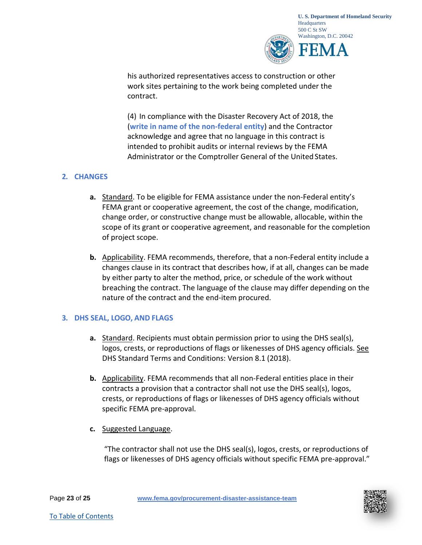

his authorized representatives access to construction or other work sites pertaining to the work being completed under the contract.

(4) In compliance with the Disaster Recovery Act of 2018, the (**write in name of the non-federal entity**) and the Contractor acknowledge and agree that no language in this contract is intended to prohibit audits or internal reviews by the FEMA Administrator or the Comptroller General of the United States.

# <span id="page-22-0"></span>**2. CHANGES**

- **a.** Standard. To be eligible for FEMA assistance under the non-Federal entity's FEMA grant or cooperative agreement, the cost of the change, modification, change order, or constructive change must be allowable, allocable, within the scope of its grant or cooperative agreement, and reasonable for the completion of project scope.
- **b.** Applicability. FEMA recommends, therefore, that a non-Federal entity include a changes clause in its contract that describes how, if at all, changes can be made by either party to alter the method, price, or schedule of the work without breaching the contract. The language of the clause may differ depending on the nature of the contract and the end-item procured.

# <span id="page-22-1"></span>**3. DHS SEAL, LOGO, AND FLAGS**

- **a.** Standard. Recipients must obtain permission prior to using the DHS seal(s), logos, crests, or reproductions of flags or likenesses of DHS agency officials. See DHS Standard Terms and Conditions: Version 8.1 (2018).
- **b.** Applicability. FEMA recommends that all non-Federal entities place in their contracts a provision that a contractor shall not use the DHS seal(s), logos, crests, or reproductions of flags or likenesses of DHS agency officials without specific FEMA pre-approval.
- **c.** Suggested Language.

"The contractor shall not use the DHS seal(s), logos, crests, or reproductions of flags or likenesses of DHS agency officials without specific FEMA pre-approval."

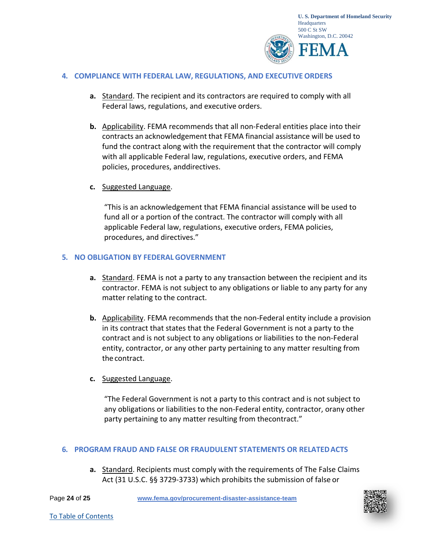

#### <span id="page-23-0"></span>**4. COMPLIANCE WITH FEDERAL LAW, REGULATIONS, AND EXECUTIVEORDERS**

- **a.** Standard. The recipient and its contractors are required to comply with all Federal laws, regulations, and executive orders.
- **b.** Applicability. FEMA recommends that all non-Federal entities place into their contracts an acknowledgement that FEMA financial assistance will be used to fund the contract along with the requirement that the contractor will comply with all applicable Federal law, regulations, executive orders, and FEMA policies, procedures, anddirectives.
- **c.** Suggested Language.

"This is an acknowledgement that FEMA financial assistance will be used to fund all or a portion of the contract. The contractor will comply with all applicable Federal law, regulations, executive orders, FEMA policies, procedures, and directives."

#### <span id="page-23-1"></span>**5. NO OBLIGATION BY FEDERAL GOVERNMENT**

- **a.** Standard. FEMA is not a party to any transaction between the recipient and its contractor. FEMA is not subject to any obligations or liable to any party for any matter relating to the contract.
- **b.** Applicability. FEMA recommends that the non-Federal entity include a provision in its contract that states that the Federal Government is not a party to the contract and is not subject to any obligations or liabilities to the non-Federal entity, contractor, or any other party pertaining to any matter resulting from the contract.
- **c.** Suggested Language.

"The Federal Government is not a party to this contract and is not subject to any obligations or liabilities to the non-Federal entity, contractor, orany other party pertaining to any matter resulting from thecontract."

#### <span id="page-23-2"></span>**6. PROGRAM FRAUD AND FALSE OR FRAUDULENT STATEMENTS OR RELATEDACTS**

**a.** Standard. Recipients must comply with the requirements of The False Claims Act (31 U.S.C. §§ 3729-3733) which prohibits the submission of false or